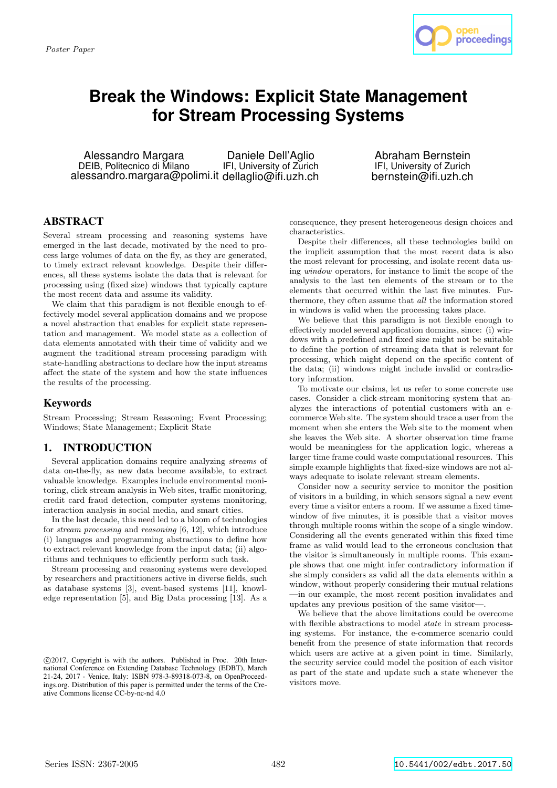

# **Break the Windows: Explicit State Management for Stream Processing Systems**

Alessandro Margara DEIB, Politecnico di Milano alessandro.margara@polimi.it dellaglio@ifi.uzh.ch Daniele Dell'Aglio IFI, University of Zurich

Abraham Bernstein IFI, University of Zurich bernstein@ifi.uzh.ch

# ABSTRACT

Several stream processing and reasoning systems have emerged in the last decade, motivated by the need to process large volumes of data on the fly, as they are generated, to timely extract relevant knowledge. Despite their differences, all these systems isolate the data that is relevant for processing using (fixed size) windows that typically capture the most recent data and assume its validity.

We claim that this paradigm is not flexible enough to effectively model several application domains and we propose a novel abstraction that enables for explicit state representation and management. We model state as a collection of data elements annotated with their time of validity and we augment the traditional stream processing paradigm with state-handling abstractions to declare how the input streams affect the state of the system and how the state influences the results of the processing.

## Keywords

Stream Processing; Stream Reasoning; Event Processing; Windows; State Management; Explicit State

## 1. INTRODUCTION

Several application domains require analyzing streams of data on-the-fly, as new data become available, to extract valuable knowledge. Examples include environmental monitoring, click stream analysis in Web sites, traffic monitoring, credit card fraud detection, computer systems monitoring, interaction analysis in social media, and smart cities.

In the last decade, this need led to a bloom of technologies for stream processing and reasoning [6, 12], which introduce (i) languages and programming abstractions to define how to extract relevant knowledge from the input data; (ii) algorithms and techniques to efficiently perform such task.

Stream processing and reasoning systems were developed by researchers and practitioners active in diverse fields, such as database systems [3], event-based systems [11], knowledge representation [5], and Big Data processing [13]. As a consequence, they present heterogeneous design choices and characteristics.

Despite their differences, all these technologies build on the implicit assumption that the most recent data is also the most relevant for processing, and isolate recent data using window operators, for instance to limit the scope of the analysis to the last ten elements of the stream or to the elements that occurred within the last five minutes. Furthermore, they often assume that all the information stored in windows is valid when the processing takes place.

We believe that this paradigm is not flexible enough to effectively model several application domains, since: (i) windows with a predefined and fixed size might not be suitable to define the portion of streaming data that is relevant for processing, which might depend on the specific content of the data; (ii) windows might include invalid or contradictory information.

To motivate our claims, let us refer to some concrete use cases. Consider a click-stream monitoring system that analyzes the interactions of potential customers with an ecommerce Web site. The system should trace a user from the moment when she enters the Web site to the moment when she leaves the Web site. A shorter observation time frame would be meaningless for the application logic, whereas a larger time frame could waste computational resources. This simple example highlights that fixed-size windows are not always adequate to isolate relevant stream elements.

Consider now a security service to monitor the position of visitors in a building, in which sensors signal a new event every time a visitor enters a room. If we assume a fixed timewindow of five minutes, it is possible that a visitor moves through multiple rooms within the scope of a single window. Considering all the events generated within this fixed time frame as valid would lead to the erroneous conclusion that the visitor is simultaneously in multiple rooms. This example shows that one might infer contradictory information if she simply considers as valid all the data elements within a window, without properly considering their mutual relations —in our example, the most recent position invalidates and updates any previous position of the same visitor—.

We believe that the above limitations could be overcome with flexible abstractions to model *state* in stream processing systems. For instance, the e-commerce scenario could benefit from the presence of state information that records which users are active at a given point in time. Similarly, the security service could model the position of each visitor as part of the state and update such a state whenever the visitors move.

c 2017, Copyright is with the authors. Published in Proc. 20th International Conference on Extending Database Technology (EDBT), March 21-24, 2017 - Venice, Italy: ISBN 978-3-89318-073-8, on OpenProceedings.org. Distribution of this paper is permitted under the terms of the Creative Commons license CC-by-nc-nd 4.0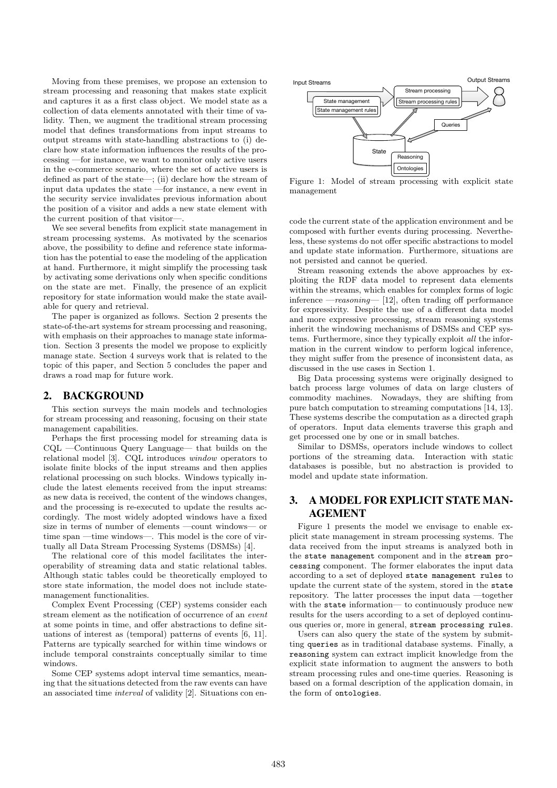Moving from these premises, we propose an extension to stream processing and reasoning that makes state explicit and captures it as a first class object. We model state as a collection of data elements annotated with their time of validity. Then, we augment the traditional stream processing model that defines transformations from input streams to output streams with state-handling abstractions to (i) declare how state information influences the results of the processing —for instance, we want to monitor only active users in the e-commerce scenario, where the set of active users is defined as part of the state—; (ii) declare how the stream of input data updates the state —for instance, a new event in the security service invalidates previous information about the position of a visitor and adds a new state element with the current position of that visitor-

We see several benefits from explicit state management in stream processing systems. As motivated by the scenarios above, the possibility to define and reference state information has the potential to ease the modeling of the application at hand. Furthermore, it might simplify the processing task by activating some derivations only when specific conditions on the state are met. Finally, the presence of an explicit repository for state information would make the state available for query and retrieval.

The paper is organized as follows. Section 2 presents the state-of-the-art systems for stream processing and reasoning, with emphasis on their approaches to manage state information. Section 3 presents the model we propose to explicitly manage state. Section 4 surveys work that is related to the topic of this paper, and Section 5 concludes the paper and draws a road map for future work.

#### 2. BACKGROUND

This section surveys the main models and technologies for stream processing and reasoning, focusing on their state management capabilities.

Perhaps the first processing model for streaming data is CQL —Continuous Query Language— that builds on the relational model [3]. CQL introduces window operators to isolate finite blocks of the input streams and then applies relational processing on such blocks. Windows typically include the latest elements received from the input streams: as new data is received, the content of the windows changes, and the processing is re-executed to update the results accordingly. The most widely adopted windows have a fixed size in terms of number of elements —count windows— or time span —time windows—. This model is the core of virtually all Data Stream Processing Systems (DSMSs) [4].

The relational core of this model facilitates the interoperability of streaming data and static relational tables. Although static tables could be theoretically employed to store state information, the model does not include statemanagement functionalities.

Complex Event Processing (CEP) systems consider each stream element as the notification of occurrence of an event at some points in time, and offer abstractions to define situations of interest as (temporal) patterns of events [6, 11]. Patterns are typically searched for within time windows or include temporal constraints conceptually similar to time windows.

Some CEP systems adopt interval time semantics, meaning that the situations detected from the raw events can have an associated time interval of validity [2]. Situations con en-



Figure 1: Model of stream processing with explicit state management

code the current state of the application environment and be composed with further events during processing. Nevertheless, these systems do not offer specific abstractions to model and update state information. Furthermore, situations are not persisted and cannot be queried.

Stream reasoning extends the above approaches by exploiting the RDF data model to represent data elements within the streams, which enables for complex forms of logic inference —reasoning— [12], often trading off performance for expressivity. Despite the use of a different data model and more expressive processing, stream reasoning systems inherit the windowing mechanisms of DSMSs and CEP systems. Furthermore, since they typically exploit all the information in the current window to perform logical inference, they might suffer from the presence of inconsistent data, as discussed in the use cases in Section 1.

Big Data processing systems were originally designed to batch process large volumes of data on large clusters of commodity machines. Nowadays, they are shifting from pure batch computation to streaming computations [14, 13]. These systems describe the computation as a directed graph of operators. Input data elements traverse this graph and get processed one by one or in small batches.

Similar to DSMSs, operators include windows to collect portions of the streaming data. Interaction with static databases is possible, but no abstraction is provided to model and update state information.

# 3. A MODEL FOR EXPLICIT STATE MAN-AGEMENT

Figure 1 presents the model we envisage to enable explicit state management in stream processing systems. The data received from the input streams is analyzed both in the state management component and in the stream processing component. The former elaborates the input data according to a set of deployed state management rules to update the current state of the system, stored in the state repository. The latter processes the input data —together with the state information— to continuously produce new results for the users according to a set of deployed continuous queries or, more in general, stream processing rules.

Users can also query the state of the system by submitting queries as in traditional database systems. Finally, a reasoning system can extract implicit knowledge from the explicit state information to augment the answers to both stream processing rules and one-time queries. Reasoning is based on a formal description of the application domain, in the form of ontologies.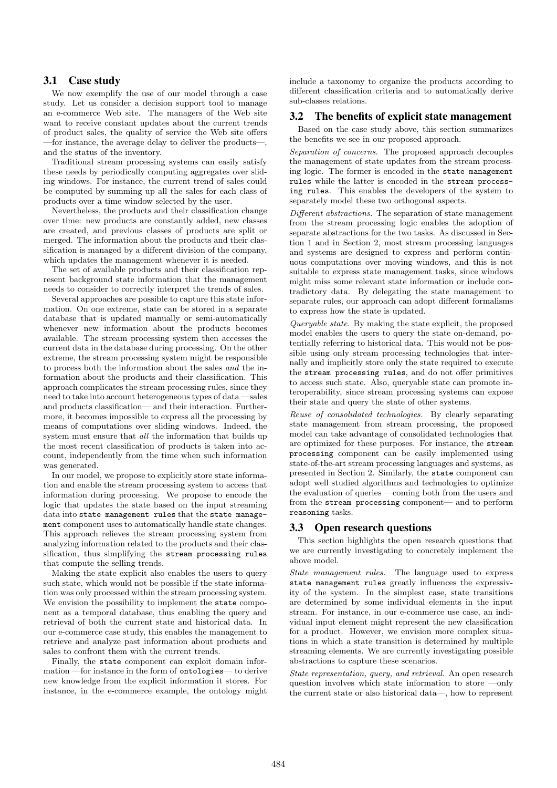## 3.1 Case study

We now exemplify the use of our model through a case study. Let us consider a decision support tool to manage an e-commerce Web site. The managers of the Web site want to receive constant updates about the current trends of product sales, the quality of service the Web site offers —for instance, the average delay to deliver the products—, and the status of the inventory.

Traditional stream processing systems can easily satisfy these needs by periodically computing aggregates over sliding windows. For instance, the current trend of sales could be computed by summing up all the sales for each class of products over a time window selected by the user.

Nevertheless, the products and their classification change over time: new products are constantly added, new classes are created, and previous classes of products are split or merged. The information about the products and their classification is managed by a different division of the company, which updates the management whenever it is needed.

The set of available products and their classification represent background state information that the management needs to consider to correctly interpret the trends of sales.

Several approaches are possible to capture this state information. On one extreme, state can be stored in a separate database that is updated manually or semi-automatically whenever new information about the products becomes available. The stream processing system then accesses the current data in the database during processing. On the other extreme, the stream processing system might be responsible to process both the information about the sales and the information about the products and their classification. This approach complicates the stream processing rules, since they need to take into account heterogeneous types of data —sales and products classification— and their interaction. Furthermore, it becomes impossible to express all the processing by means of computations over sliding windows. Indeed, the system must ensure that all the information that builds up the most recent classification of products is taken into account, independently from the time when such information was generated.

In our model, we propose to explicitly store state information and enable the stream processing system to access that information during processing. We propose to encode the logic that updates the state based on the input streaming data into state management rules that the state management component uses to automatically handle state changes. This approach relieves the stream processing system from analyzing information related to the products and their classification, thus simplifying the stream processing rules that compute the selling trends.

Making the state explicit also enables the users to query such state, which would not be possible if the state information was only processed within the stream processing system. We envision the possibility to implement the state component as a temporal database, thus enabling the query and retrieval of both the current state and historical data. In our e-commerce case study, this enables the management to retrieve and analyze past information about products and sales to confront them with the current trends.

Finally, the state component can exploit domain information —for instance in the form of ontologies— to derive new knowledge from the explicit information it stores. For instance, in the e-commerce example, the ontology might include a taxonomy to organize the products according to different classification criteria and to automatically derive sub-classes relations.

### 3.2 The benefits of explicit state management

Based on the case study above, this section summarizes the benefits we see in our proposed approach.

Separation of concerns. The proposed approach decouples the management of state updates from the stream processing logic. The former is encoded in the state management rules while the latter is encoded in the stream processing rules. This enables the developers of the system to separately model these two orthogonal aspects.

Different abstractions. The separation of state management from the stream processing logic enables the adoption of separate abstractions for the two tasks. As discussed in Section 1 and in Section 2, most stream processing languages and systems are designed to express and perform continuous computations over moving windows, and this is not suitable to express state management tasks, since windows might miss some relevant state information or include contradictory data. By delegating the state management to separate rules, our approach can adopt different formalisms to express how the state is updated.

Queryable state. By making the state explicit, the proposed model enables the users to query the state on-demand, potentially referring to historical data. This would not be possible using only stream processing technologies that internally and implicitly store only the state required to execute the stream processing rules, and do not offer primitives to access such state. Also, queryable state can promote interoperability, since stream processing systems can expose their state and query the state of other systems.

Reuse of consolidated technologies. By clearly separating state management from stream processing, the proposed model can take advantage of consolidated technologies that are optimized for these purposes. For instance, the stream processing component can be easily implemented using state-of-the-art stream processing languages and systems, as presented in Section 2. Similarly, the state component can adopt well studied algorithms and technologies to optimize the evaluation of queries —coming both from the users and from the stream processing component— and to perform reasoning tasks.

### 3.3 Open research questions

This section highlights the open research questions that we are currently investigating to concretely implement the above model.

State management rules. The language used to express state management rules greatly influences the expressivity of the system. In the simplest case, state transitions are determined by some individual elements in the input stream. For instance, in our e-commerce use case, an individual input element might represent the new classification for a product. However, we envision more complex situations in which a state transition is determined by multiple streaming elements. We are currently investigating possible abstractions to capture these scenarios.

State representation, query, and retrieval. An open research question involves which state information to store —only the current state or also historical data—, how to represent